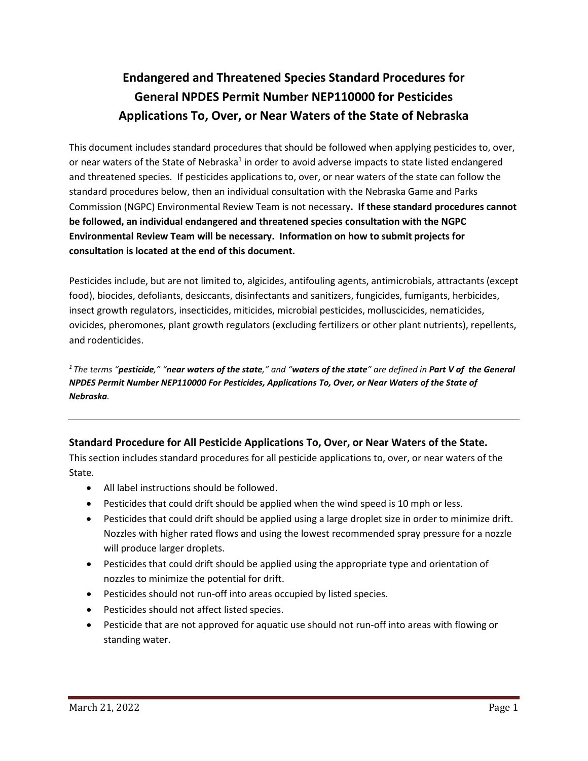# **Endangered and Threatened Species Standard Procedures for General NPDES Permit Number NEP110000 for Pesticides Applications To, Over, or Near Waters of the State of Nebraska**

This document includes standard procedures that should be followed when applying pesticides to, over, or near waters of the State of Nebraska<sup>1</sup> in order to avoid adverse impacts to state listed endangered and threatened species. If pesticides applications to, over, or near waters of the state can follow the standard procedures below, then an individual consultation with the Nebraska Game and Parks Commission (NGPC) Environmental Review Team is not necessary**. If these standard procedures cannot be followed, an individual endangered and threatened species consultation with the NGPC Environmental Review Team will be necessary. Information on how to submit projects for consultation is located at the end of this document.**

Pesticides include, but are not limited to, algicides, antifouling agents, antimicrobials, attractants (except food), biocides, defoliants, desiccants, disinfectants and sanitizers, fungicides, fumigants, herbicides, insect growth regulators, insecticides, miticides, microbial pesticides, molluscicides, nematicides, ovicides, pheromones, plant growth regulators (excluding fertilizers or other plant nutrients), repellents, and rodenticides.

*1 The terms "pesticide," "near waters of the state," and "waters of the state" are defined in Part V of the General NPDES Permit Number NEP110000 For Pesticides, Applications To, Over, or Near Waters of the State of Nebraska.* 

# **Standard Procedure for All Pesticide Applications To, Over, or Near Waters of the State.**

This section includes standard procedures for all pesticide applications to, over, or near waters of the State.

- All label instructions should be followed.
- Pesticides that could drift should be applied when the wind speed is 10 mph or less.
- Pesticides that could drift should be applied using a large droplet size in order to minimize drift. Nozzles with higher rated flows and using the lowest recommended spray pressure for a nozzle will produce larger droplets.
- Pesticides that could drift should be applied using the appropriate type and orientation of nozzles to minimize the potential for drift.
- Pesticides should not run-off into areas occupied by listed species.
- Pesticides should not affect listed species.
- Pesticide that are not approved for aquatic use should not run-off into areas with flowing or standing water.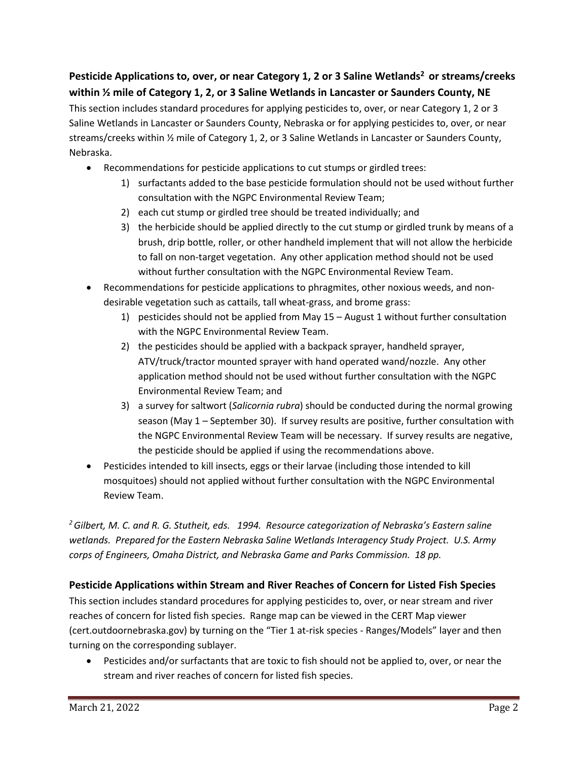Pesticide Applications to, over, or near Category 1, 2 or 3 Saline Wetlands<sup>2</sup> or streams/creeks **within ½ mile of Category 1, 2, or 3 Saline Wetlands in Lancaster or Saunders County, NE** This section includes standard procedures for applying pesticides to, over, or near Category 1, 2 or 3 Saline Wetlands in Lancaster or Saunders County, Nebraska or for applying pesticides to, over, or near streams/creeks within ½ mile of Category 1, 2, or 3 Saline Wetlands in Lancaster or Saunders County, Nebraska.

- Recommendations for pesticide applications to cut stumps or girdled trees:
	- 1) surfactants added to the base pesticide formulation should not be used without further consultation with the NGPC Environmental Review Team;
	- 2) each cut stump or girdled tree should be treated individually; and
	- 3) the herbicide should be applied directly to the cut stump or girdled trunk by means of a brush, drip bottle, roller, or other handheld implement that will not allow the herbicide to fall on non-target vegetation. Any other application method should not be used without further consultation with the NGPC Environmental Review Team.
- Recommendations for pesticide applications to phragmites, other noxious weeds, and nondesirable vegetation such as cattails, tall wheat-grass, and brome grass:
	- 1) pesticides should not be applied from May 15 August 1 without further consultation with the NGPC Environmental Review Team.
	- 2) the pesticides should be applied with a backpack sprayer, handheld sprayer, ATV/truck/tractor mounted sprayer with hand operated wand/nozzle. Any other application method should not be used without further consultation with the NGPC Environmental Review Team; and
	- 3) a survey for saltwort (*Salicornia rubra*) should be conducted during the normal growing season (May 1 – September 30). If survey results are positive, further consultation with the NGPC Environmental Review Team will be necessary. If survey results are negative, the pesticide should be applied if using the recommendations above.
- Pesticides intended to kill insects, eggs or their larvae (including those intended to kill mosquitoes) should not applied without further consultation with the NGPC Environmental Review Team.

*2 Gilbert, M. C. and R. G. Stutheit, eds. 1994. Resource categorization of Nebraska's Eastern saline wetlands. Prepared for the Eastern Nebraska Saline Wetlands Interagency Study Project. U.S. Army corps of Engineers, Omaha District, and Nebraska Game and Parks Commission. 18 pp.*

# **Pesticide Applications within Stream and River Reaches of Concern for Listed Fish Species**

This section includes standard procedures for applying pesticides to, over, or near stream and river reaches of concern for listed fish species. Range map can be viewed in the CERT Map viewer (cert.outdoornebraska.gov) by turning on the "Tier 1 at-risk species - Ranges/Models" layer and then turning on the corresponding sublayer.

• Pesticides and/or surfactants that are toxic to fish should not be applied to, over, or near the stream and river reaches of concern for listed fish species.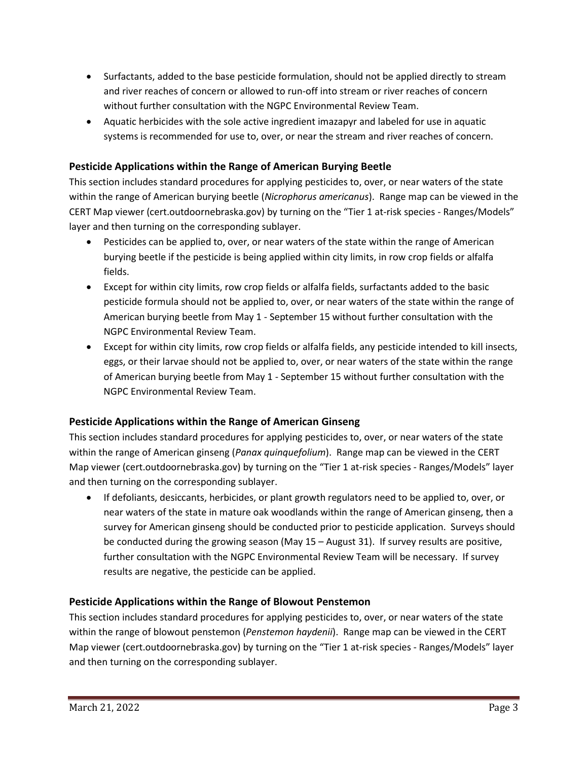- Surfactants, added to the base pesticide formulation, should not be applied directly to stream and river reaches of concern or allowed to run-off into stream or river reaches of concern without further consultation with the NGPC Environmental Review Team.
- Aquatic herbicides with the sole active ingredient imazapyr and labeled for use in aquatic systems is recommended for use to, over, or near the stream and river reaches of concern.

# **Pesticide Applications within the Range of American Burying Beetle**

This section includes standard procedures for applying pesticides to, over, or near waters of the state within the range of American burying beetle (*Nicrophorus americanus*). Range map can be viewed in the CERT Map viewer (cert.outdoornebraska.gov) by turning on the "Tier 1 at-risk species - Ranges/Models" layer and then turning on the corresponding sublayer.

- Pesticides can be applied to, over, or near waters of the state within the range of American burying beetle if the pesticide is being applied within city limits, in row crop fields or alfalfa fields.
- Except for within city limits, row crop fields or alfalfa fields, surfactants added to the basic pesticide formula should not be applied to, over, or near waters of the state within the range of American burying beetle from May 1 - September 15 without further consultation with the NGPC Environmental Review Team.
- Except for within city limits, row crop fields or alfalfa fields, any pesticide intended to kill insects, eggs, or their larvae should not be applied to, over, or near waters of the state within the range of American burying beetle from May 1 - September 15 without further consultation with the NGPC Environmental Review Team.

# **Pesticide Applications within the Range of American Ginseng**

This section includes standard procedures for applying pesticides to, over, or near waters of the state within the range of American ginseng (*Panax quinquefolium*). Range map can be viewed in the CERT Map viewer (cert.outdoornebraska.gov) by turning on the "Tier 1 at-risk species - Ranges/Models" layer and then turning on the corresponding sublayer.

• If defoliants, desiccants, herbicides, or plant growth regulators need to be applied to, over, or near waters of the state in mature oak woodlands within the range of American ginseng, then a survey for American ginseng should be conducted prior to pesticide application. Surveys should be conducted during the growing season (May 15 – August 31). If survey results are positive, further consultation with the NGPC Environmental Review Team will be necessary. If survey results are negative, the pesticide can be applied.

# **Pesticide Applications within the Range of Blowout Penstemon**

This section includes standard procedures for applying pesticides to, over, or near waters of the state within the range of blowout penstemon (*Penstemon haydenii*). Range map can be viewed in the CERT Map viewer (cert.outdoornebraska.gov) by turning on the "Tier 1 at-risk species - Ranges/Models" layer and then turning on the corresponding sublayer.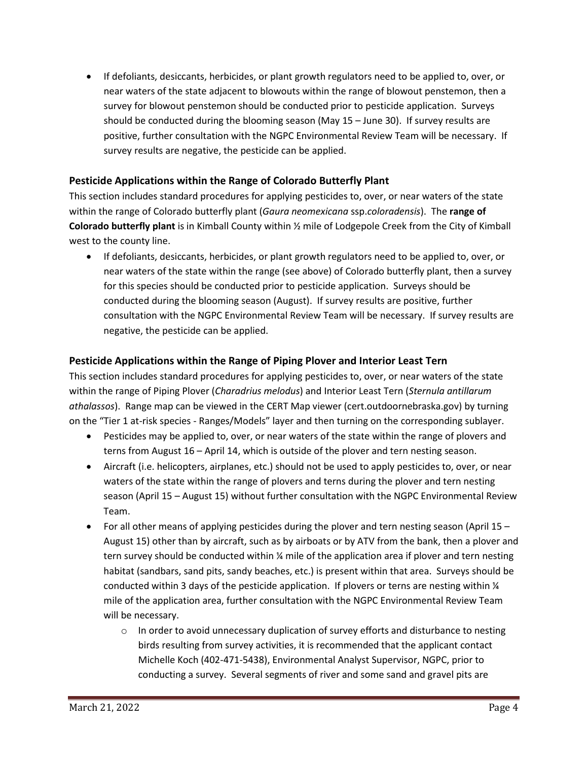• If defoliants, desiccants, herbicides, or plant growth regulators need to be applied to, over, or near waters of the state adjacent to blowouts within the range of blowout penstemon, then a survey for blowout penstemon should be conducted prior to pesticide application. Surveys should be conducted during the blooming season (May 15 – June 30). If survey results are positive, further consultation with the NGPC Environmental Review Team will be necessary. If survey results are negative, the pesticide can be applied.

#### **Pesticide Applications within the Range of Colorado Butterfly Plant**

This section includes standard procedures for applying pesticides to, over, or near waters of the state within the range of Colorado butterfly plant (*Gaura neomexicana* ssp.*coloradensis*). The **range of Colorado butterfly plant** is in Kimball County within ½ mile of Lodgepole Creek from the City of Kimball west to the county line.

• If defoliants, desiccants, herbicides, or plant growth regulators need to be applied to, over, or near waters of the state within the range (see above) of Colorado butterfly plant, then a survey for this species should be conducted prior to pesticide application. Surveys should be conducted during the blooming season (August). If survey results are positive, further consultation with the NGPC Environmental Review Team will be necessary. If survey results are negative, the pesticide can be applied.

#### **Pesticide Applications within the Range of Piping Plover and Interior Least Tern**

This section includes standard procedures for applying pesticides to, over, or near waters of the state within the range of Piping Plover (*Charadrius melodus*) and Interior Least Tern (*Sternula antillarum athalassos*). Range map can be viewed in the CERT Map viewer (cert.outdoornebraska.gov) by turning on the "Tier 1 at-risk species - Ranges/Models" layer and then turning on the corresponding sublayer.

- Pesticides may be applied to, over, or near waters of the state within the range of plovers and terns from August 16 – April 14, which is outside of the plover and tern nesting season.
- Aircraft (i.e. helicopters, airplanes, etc.) should not be used to apply pesticides to, over, or near waters of the state within the range of plovers and terns during the plover and tern nesting season (April 15 – August 15) without further consultation with the NGPC Environmental Review Team.
- For all other means of applying pesticides during the plover and tern nesting season (April 15 August 15) other than by aircraft, such as by airboats or by ATV from the bank, then a plover and tern survey should be conducted within ¼ mile of the application area if plover and tern nesting habitat (sandbars, sand pits, sandy beaches, etc.) is present within that area. Surveys should be conducted within 3 days of the pesticide application. If plovers or terns are nesting within  $\frac{1}{4}$ mile of the application area, further consultation with the NGPC Environmental Review Team will be necessary.
	- $\circ$  In order to avoid unnecessary duplication of survey efforts and disturbance to nesting birds resulting from survey activities, it is recommended that the applicant contact Michelle Koch (402-471-5438), Environmental Analyst Supervisor, NGPC, prior to conducting a survey. Several segments of river and some sand and gravel pits are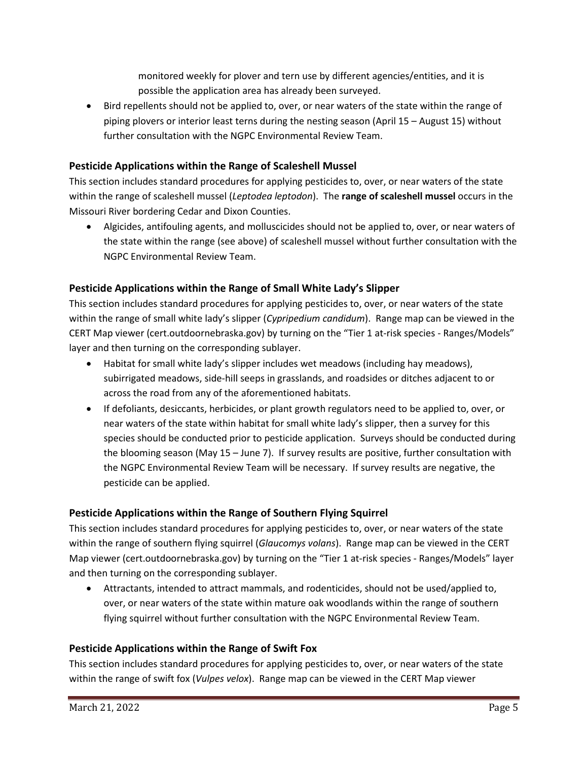monitored weekly for plover and tern use by different agencies/entities, and it is possible the application area has already been surveyed.

• Bird repellents should not be applied to, over, or near waters of the state within the range of piping plovers or interior least terns during the nesting season (April 15 – August 15) without further consultation with the NGPC Environmental Review Team.

# **Pesticide Applications within the Range of Scaleshell Mussel**

This section includes standard procedures for applying pesticides to, over, or near waters of the state within the range of scaleshell mussel (*Leptodea leptodon*). The **range of scaleshell mussel** occurs in the Missouri River bordering Cedar and Dixon Counties.

• Algicides, antifouling agents, and molluscicides should not be applied to, over, or near waters of the state within the range (see above) of scaleshell mussel without further consultation with the NGPC Environmental Review Team.

# **Pesticide Applications within the Range of Small White Lady's Slipper**

This section includes standard procedures for applying pesticides to, over, or near waters of the state within the range of small white lady's slipper (*Cypripedium candidum*). Range map can be viewed in the CERT Map viewer (cert.outdoornebraska.gov) by turning on the "Tier 1 at-risk species - Ranges/Models" layer and then turning on the corresponding sublayer.

- Habitat for small white lady's slipper includes wet meadows (including hay meadows), subirrigated meadows, side-hill seeps in grasslands, and roadsides or ditches adjacent to or across the road from any of the aforementioned habitats.
- If defoliants, desiccants, herbicides, or plant growth regulators need to be applied to, over, or near waters of the state within habitat for small white lady's slipper, then a survey for this species should be conducted prior to pesticide application. Surveys should be conducted during the blooming season (May 15 – June 7). If survey results are positive, further consultation with the NGPC Environmental Review Team will be necessary. If survey results are negative, the pesticide can be applied.

# **Pesticide Applications within the Range of Southern Flying Squirrel**

This section includes standard procedures for applying pesticides to, over, or near waters of the state within the range of southern flying squirrel (*Glaucomys volans*). Range map can be viewed in the CERT Map viewer (cert.outdoornebraska.gov) by turning on the "Tier 1 at-risk species - Ranges/Models" layer and then turning on the corresponding sublayer.

• Attractants, intended to attract mammals, and rodenticides, should not be used/applied to, over, or near waters of the state within mature oak woodlands within the range of southern flying squirrel without further consultation with the NGPC Environmental Review Team.

# **Pesticide Applications within the Range of Swift Fox**

This section includes standard procedures for applying pesticides to, over, or near waters of the state within the range of swift fox (*Vulpes velox*). Range map can be viewed in the CERT Map viewer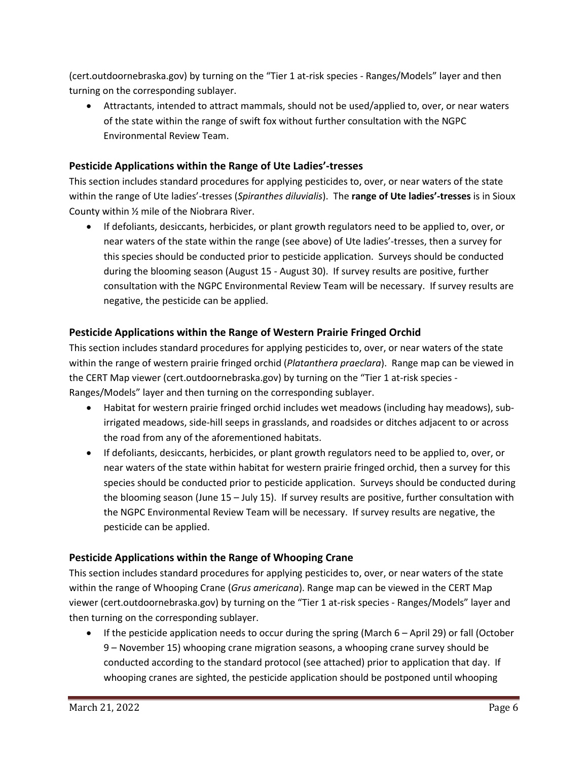(cert.outdoornebraska.gov) by turning on the "Tier 1 at-risk species - Ranges/Models" layer and then turning on the corresponding sublayer.

• Attractants, intended to attract mammals, should not be used/applied to, over, or near waters of the state within the range of swift fox without further consultation with the NGPC Environmental Review Team.

# **Pesticide Applications within the Range of Ute Ladies'-tresses**

This section includes standard procedures for applying pesticides to, over, or near waters of the state within the range of Ute ladies'-tresses (*Spiranthes diluvialis*). The **range of Ute ladies'-tresses** is in Sioux County within ½ mile of the Niobrara River.

• If defoliants, desiccants, herbicides, or plant growth regulators need to be applied to, over, or near waters of the state within the range (see above) of Ute ladies'-tresses, then a survey for this species should be conducted prior to pesticide application. Surveys should be conducted during the blooming season (August 15 - August 30). If survey results are positive, further consultation with the NGPC Environmental Review Team will be necessary. If survey results are negative, the pesticide can be applied.

# **Pesticide Applications within the Range of Western Prairie Fringed Orchid**

This section includes standard procedures for applying pesticides to, over, or near waters of the state within the range of western prairie fringed orchid (*Platanthera praeclara*). Range map can be viewed in the CERT Map viewer (cert.outdoornebraska.gov) by turning on the "Tier 1 at-risk species - Ranges/Models" layer and then turning on the corresponding sublayer.

- Habitat for western prairie fringed orchid includes wet meadows (including hay meadows), subirrigated meadows, side-hill seeps in grasslands, and roadsides or ditches adjacent to or across the road from any of the aforementioned habitats.
- If defoliants, desiccants, herbicides, or plant growth regulators need to be applied to, over, or near waters of the state within habitat for western prairie fringed orchid, then a survey for this species should be conducted prior to pesticide application. Surveys should be conducted during the blooming season (June 15 – July 15). If survey results are positive, further consultation with the NGPC Environmental Review Team will be necessary. If survey results are negative, the pesticide can be applied.

# **Pesticide Applications within the Range of Whooping Crane**

This section includes standard procedures for applying pesticides to, over, or near waters of the state within the range of Whooping Crane (*Grus americana*). Range map can be viewed in the CERT Map viewer (cert.outdoornebraska.gov) by turning on the "Tier 1 at-risk species - Ranges/Models" layer and then turning on the corresponding sublayer.

• If the pesticide application needs to occur during the spring (March 6 – April 29) or fall (October 9 – November 15) whooping crane migration seasons, a whooping crane survey should be conducted according to the standard protocol (see attached) prior to application that day. If whooping cranes are sighted, the pesticide application should be postponed until whooping